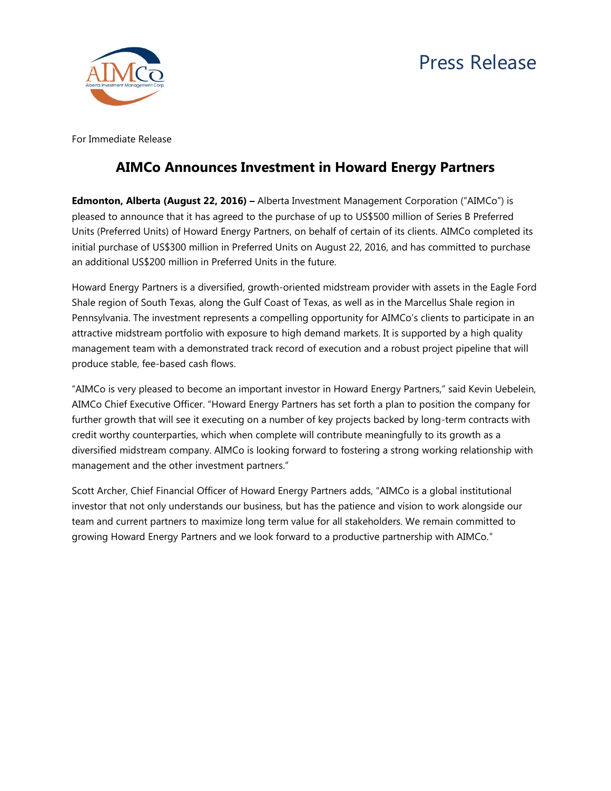



For Immediate Release

## **AIMCo Announces Investment in Howard Energy Partners**

**Edmonton, Alberta (August 22, 2016) –** Alberta Investment Management Corporation ("AIMCo") is pleased to announce that it has agreed to the purchase of up to US\$500 million of Series B Preferred Units (Preferred Units) of Howard Energy Partners, on behalf of certain of its clients. AIMCo completed its initial purchase of US\$300 million in Preferred Units on August 22, 2016, and has committed to purchase an additional US\$200 million in Preferred Units in the future.

Howard Energy Partners is a diversified, growth-oriented midstream provider with assets in the Eagle Ford Shale region of South Texas, along the Gulf Coast of Texas, as well as in the Marcellus Shale region in Pennsylvania. The investment represents a compelling opportunity for AIMCo's clients to participate in an attractive midstream portfolio with exposure to high demand markets. It is supported by a high quality management team with a demonstrated track record of execution and a robust project pipeline that will produce stable, fee-based cash flows.

"AIMCo is very pleased to become an important investor in Howard Energy Partners," said Kevin Uebelein, AIMCo Chief Executive Officer. "Howard Energy Partners has set forth a plan to position the company for further growth that will see it executing on a number of key projects backed by long-term contracts with credit worthy counterparties, which when complete will contribute meaningfully to its growth as a diversified midstream company. AIMCo is looking forward to fostering a strong working relationship with management and the other investment partners."

Scott Archer, Chief Financial Officer of Howard Energy Partners adds, "AIMCo is a global institutional investor that not only understands our business, but has the patience and vision to work alongside our team and current partners to maximize long term value for all stakeholders. We remain committed to growing Howard Energy Partners and we look forward to a productive partnership with AIMCo."